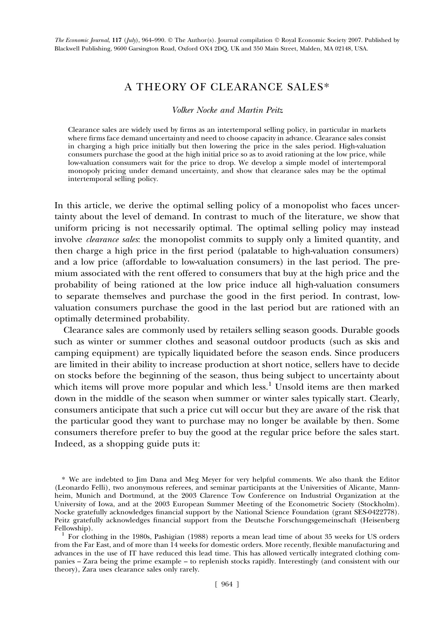# A THEORY OF CLEARANCE SALES\*

### Volker Nocke and Martin Peitz

Clearance sales are widely used by firms as an intertemporal selling policy, in particular in markets where firms face demand uncertainty and need to choose capacity in advance. Clearance sales consist in charging a high price initially but then lowering the price in the sales period. High-valuation consumers purchase the good at the high initial price so as to avoid rationing at the low price, while low-valuation consumers wait for the price to drop. We develop a simple model of intertemporal monopoly pricing under demand uncertainty, and show that clearance sales may be the optimal intertemporal selling policy.

In this article, we derive the optimal selling policy of a monopolist who faces uncertainty about the level of demand. In contrast to much of the literature, we show that uniform pricing is not necessarily optimal. The optimal selling policy may instead involve *clearance sales*: the monopolist commits to supply only a limited quantity, and then charge a high price in the first period (palatable to high-valuation consumers) and a low price (affordable to low-valuation consumers) in the last period. The premium associated with the rent offered to consumers that buy at the high price and the probability of being rationed at the low price induce all high-valuation consumers to separate themselves and purchase the good in the first period. In contrast, lowvaluation consumers purchase the good in the last period but are rationed with an optimally determined probability.

Clearance sales are commonly used by retailers selling season goods. Durable goods such as winter or summer clothes and seasonal outdoor products (such as skis and camping equipment) are typically liquidated before the season ends. Since producers are limited in their ability to increase production at short notice, sellers have to decide on stocks before the beginning of the season, thus being subject to uncertainty about which items will prove more popular and which less.<sup>1</sup> Unsold items are then marked down in the middle of the season when summer or winter sales typically start. Clearly, consumers anticipate that such a price cut will occur but they are aware of the risk that the particular good they want to purchase may no longer be available by then. Some consumers therefore prefer to buy the good at the regular price before the sales start. Indeed, as a shopping guide puts it:

\* We are indebted to Jim Dana and Meg Meyer for very helpful comments. We also thank the Editor (Leonardo Felli), two anonymous referees, and seminar participants at the Universities of Alicante, Mannheim, Munich and Dortmund, at the 2003 Clarence Tow Conference on Industrial Organization at the University of Iowa, and at the 2003 European Summer Meeting of the Econometric Society (Stockholm). Nocke gratefully acknowledges financial support by the National Science Foundation (grant SES-0422778). Peitz gratefully acknowledges financial support from the Deutsche Forschungsgemeinschaft (Heisenberg

<sup>1</sup> For clothing in the 1980s, Pashigian (1988) reports a mean lead time of about 35 weeks for US orders from the Far East, and of more than 14 weeks for domestic orders. More recently, flexible manufacturing and advances in the use of IT have reduced this lead time. This has allowed vertically integrated clothing companies – Zara being the prime example – to replenish stocks rapidly. Interestingly (and consistent with our theory), Zara uses clearance sales only rarely.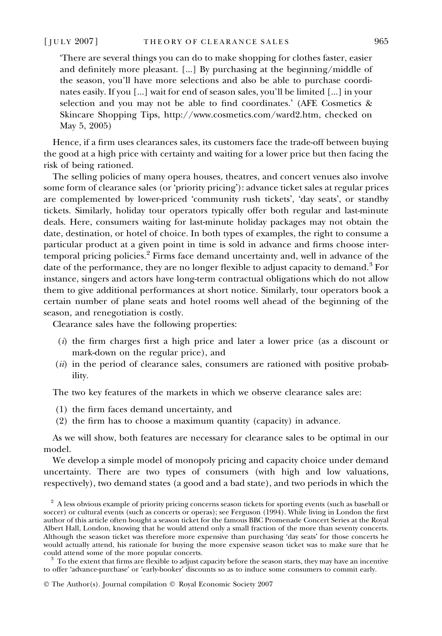-There are several things you can do to make shopping for clothes faster, easier and definitely more pleasant. [...] By purchasing at the beginning/middle of the season, you'll have more selections and also be able to purchase coordinates easily. If you [...] wait for end of season sales, you'll be limited [...] in your selection and you may not be able to find coordinates.' (AFE Cosmetics & Skincare Shopping Tips, http://www.cosmetics.com/ward2.htm, checked on May 5, 2005)

Hence, if a firm uses clearances sales, its customers face the trade-off between buying the good at a high price with certainty and waiting for a lower price but then facing the risk of being rationed.

The selling policies of many opera houses, theatres, and concert venues also involve some form of clearance sales (or 'priority pricing'): advance ticket sales at regular prices are complemented by lower-priced 'community rush tickets', 'day seats', or standby tickets. Similarly, holiday tour operators typically offer both regular and last-minute deals. Here, consumers waiting for last-minute holiday packages may not obtain the date, destination, or hotel of choice. In both types of examples, the right to consume a particular product at a given point in time is sold in advance and firms choose intertemporal pricing policies.<sup>2</sup> Firms face demand uncertainty and, well in advance of the date of the performance, they are no longer flexible to adjust capacity to demand.<sup>3</sup> For instance, singers and actors have long-term contractual obligations which do not allow them to give additional performances at short notice. Similarly, tour operators book a certain number of plane seats and hotel rooms well ahead of the beginning of the season, and renegotiation is costly.

Clearance sales have the following properties:

- $(i)$  the firm charges first a high price and later a lower price (as a discount or mark-down on the regular price), and
- $(ii)$  in the period of clearance sales, consumers are rationed with positive probability.

The two key features of the markets in which we observe clearance sales are:

- (1) the firm faces demand uncertainty, and
- (2) the firm has to choose a maximum quantity (capacity) in advance.

As we will show, both features are necessary for clearance sales to be optimal in our model.

We develop a simple model of monopoly pricing and capacity choice under demand uncertainty. There are two types of consumers (with high and low valuations, respectively), two demand states (a good and a bad state), and two periods in which the

 $3\text{ T}$  To the extent that firms are flexible to adjust capacity before the season starts, they may have an incentive to offer 'advance-purchase' or 'early-booker' discounts so as to induce some consumers to commit early.

<sup>&</sup>lt;sup>2</sup> A less obvious example of priority pricing concerns season tickets for sporting events (such as baseball or soccer) or cultural events (such as concerts or operas); see Ferguson (1994). While living in London the first author of this article often bought a season ticket for the famous BBC Promenade Concert Series at the Royal Albert Hall, London, knowing that he would attend only a small fraction of the more than seventy concerts. Although the season ticket was therefore more expensive than purchasing 'day seats' for those concerts he would actually attend, his rationale for buying the more expensive season ticket was to make sure that he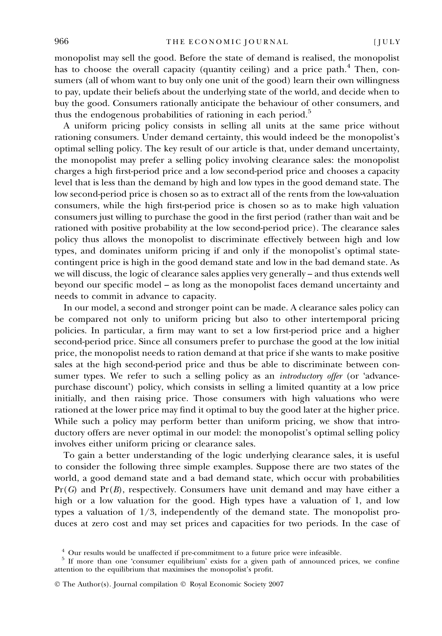monopolist may sell the good. Before the state of demand is realised, the monopolist has to choose the overall capacity (quantity ceiling) and a price path.<sup>4</sup> Then, consumers (all of whom want to buy only one unit of the good) learn their own willingness to pay, update their beliefs about the underlying state of the world, and decide when to buy the good. Consumers rationally anticipate the behaviour of other consumers, and thus the endogenous probabilities of rationing in each period.<sup>5</sup>

A uniform pricing policy consists in selling all units at the same price without rationing consumers. Under demand certainty, this would indeed be the monopolist's optimal selling policy. The key result of our article is that, under demand uncertainty, the monopolist may prefer a selling policy involving clearance sales: the monopolist charges a high first-period price and a low second-period price and chooses a capacity level that is less than the demand by high and low types in the good demand state. The low second-period price is chosen so as to extract all of the rents from the low-valuation consumers, while the high first-period price is chosen so as to make high valuation consumers just willing to purchase the good in the first period (rather than wait and be rationed with positive probability at the low second-period price). The clearance sales policy thus allows the monopolist to discriminate effectively between high and low types, and dominates uniform pricing if and only if the monopolist's optimal statecontingent price is high in the good demand state and low in the bad demand state. As we will discuss, the logic of clearance sales applies very generally – and thus extends well beyond our specific model – as long as the monopolist faces demand uncertainty and needs to commit in advance to capacity.

In our model, a second and stronger point can be made. A clearance sales policy can be compared not only to uniform pricing but also to other intertemporal pricing policies. In particular, a firm may want to set a low first-period price and a higher second-period price. Since all consumers prefer to purchase the good at the low initial price, the monopolist needs to ration demand at that price if she wants to make positive sales at the high second-period price and thus be able to discriminate between consumer types. We refer to such a selling policy as an *introductory offer* (or 'advancepurchase discount) policy, which consists in selling a limited quantity at a low price initially, and then raising price. Those consumers with high valuations who were rationed at the lower price may find it optimal to buy the good later at the higher price. While such a policy may perform better than uniform pricing, we show that introductory offers are never optimal in our model: the monopolist's optimal selling policy involves either uniform pricing or clearance sales.

To gain a better understanding of the logic underlying clearance sales, it is useful to consider the following three simple examples. Suppose there are two states of the world, a good demand state and a bad demand state, which occur with probabilities  $Pr(G)$  and  $Pr(B)$ , respectively. Consumers have unit demand and may have either a high or a low valuation for the good. High types have a valuation of 1, and low types a valuation of 1/3, independently of the demand state. The monopolist produces at zero cost and may set prices and capacities for two periods. In the case of

 $4$  Our results would be unaffected if pre-commitment to a future price were infeasible.

 $5$  If more than one 'consumer equilibrium' exists for a given path of announced prices, we confine attention to the equilibrium that maximises the monopolist's profit.

<sup>©</sup> The Author(s). Journal compilation © Royal Economic Society 2007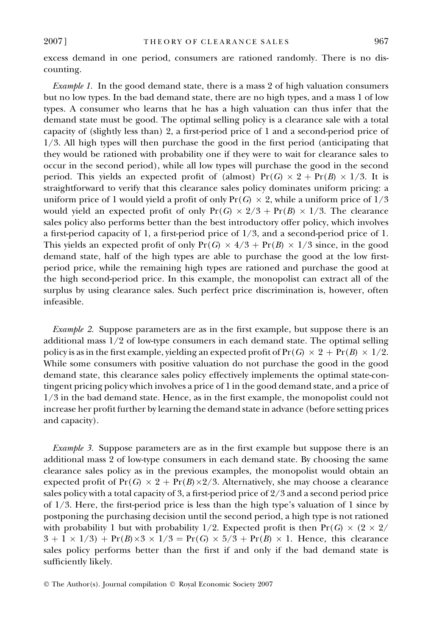excess demand in one period, consumers are rationed randomly. There is no discounting.

Example 1. In the good demand state, there is a mass 2 of high valuation consumers but no low types. In the bad demand state, there are no high types, and a mass 1 of low types. A consumer who learns that he has a high valuation can thus infer that the demand state must be good. The optimal selling policy is a clearance sale with a total capacity of (slightly less than) 2, a first-period price of 1 and a second-period price of 1/3. All high types will then purchase the good in the first period (anticipating that they would be rationed with probability one if they were to wait for clearance sales to occur in the second period), while all low types will purchase the good in the second period. This yields an expected profit of (almost)  $Pr(G) \times 2 + Pr(B) \times 1/3$ . It is straightforward to verify that this clearance sales policy dominates uniform pricing: a uniform price of 1 would yield a profit of only  $\Pr(G) \times 2,$  while a uniform price of  $1/3$ would yield an expected profit of only  $\Pr(G) \times 2/3 + \Pr(B) \times 1/3$ . The clearance sales policy also performs better than the best introductory offer policy, which involves a first-period capacity of 1, a first-period price of 1/3, and a second-period price of 1. This yields an expected profit of only  $Pr(G) \times 4/3 + Pr(B) \times 1/3$  since, in the good demand state, half of the high types are able to purchase the good at the low firstperiod price, while the remaining high types are rationed and purchase the good at the high second-period price. In this example, the monopolist can extract all of the surplus by using clearance sales. Such perfect price discrimination is, however, often infeasible.

Example 2. Suppose parameters are as in the first example, but suppose there is an additional mass 1/2 of low-type consumers in each demand state. The optimal selling policy is as in the first example, yielding an expected profit of  $\Pr(G) \times 2 + \Pr(B) \times 1/2.$ While some consumers with positive valuation do not purchase the good in the good demand state, this clearance sales policy effectively implements the optimal state-contingent pricing policy which involves a price of 1 in the good demand state, and a price of 1/3 in the bad demand state. Hence, as in the first example, the monopolist could not increase her profit further by learning the demand state in advance (before setting prices and capacity).

Example 3. Suppose parameters are as in the first example but suppose there is an additional mass 2 of low-type consumers in each demand state. By choosing the same clearance sales policy as in the previous examples, the monopolist would obtain an expected profit of  $Pr(G) \times 2 + Pr(B) \times 2/3$ . Alternatively, she may choose a clearance sales policy with a total capacity of 3, a first-period price of 2/3 and a second period price of 1/3. Here, the first-period price is less than the high type's valuation of 1 since by postponing the purchasing decision until the second period, a high type is not rationed with probability 1 but with probability 1/2. Expected profit is then  $Pr(G) \times (2 \times 2)$  $3 + 1 \times 1/3$  + Pr(B) $\times$ 3  $\times$  1/3 = Pr(G)  $\times$  5/3 + Pr(B)  $\times$  1. Hence, this clearance sales policy performs better than the first if and only if the bad demand state is sufficiently likely.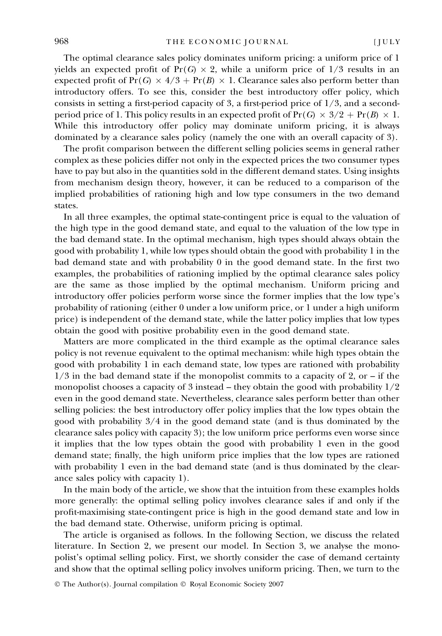The optimal clearance sales policy dominates uniform pricing: a uniform price of 1 yields an expected profit of  $Pr(G) \times 2$ , while a uniform price of  $1/3$  results in an expected profit of  $Pr(G) \times 4/3 + Pr(B) \times 1$ . Clearance sales also perform better than introductory offers. To see this, consider the best introductory offer policy, which consists in setting a first-period capacity of 3, a first-period price of 1/3, and a secondperiod price of 1. This policy results in an expected profit of  $\Pr(G) \times 3/2 + \Pr(B) \times 1.$ While this introductory offer policy may dominate uniform pricing, it is always dominated by a clearance sales policy (namely the one with an overall capacity of 3).

The profit comparison between the different selling policies seems in general rather complex as these policies differ not only in the expected prices the two consumer types have to pay but also in the quantities sold in the different demand states. Using insights from mechanism design theory, however, it can be reduced to a comparison of the implied probabilities of rationing high and low type consumers in the two demand states.

In all three examples, the optimal state-contingent price is equal to the valuation of the high type in the good demand state, and equal to the valuation of the low type in the bad demand state. In the optimal mechanism, high types should always obtain the good with probability 1, while low types should obtain the good with probability 1 in the bad demand state and with probability 0 in the good demand state. In the first two examples, the probabilities of rationing implied by the optimal clearance sales policy are the same as those implied by the optimal mechanism. Uniform pricing and introductory offer policies perform worse since the former implies that the low type's probability of rationing (either 0 under a low uniform price, or 1 under a high uniform price) is independent of the demand state, while the latter policy implies that low types obtain the good with positive probability even in the good demand state.

Matters are more complicated in the third example as the optimal clearance sales policy is not revenue equivalent to the optimal mechanism: while high types obtain the good with probability 1 in each demand state, low types are rationed with probability  $1/3$  in the bad demand state if the monopolist commits to a capacity of 2, or – if the monopolist chooses a capacity of 3 instead – they obtain the good with probability  $1/2$ even in the good demand state. Nevertheless, clearance sales perform better than other selling policies: the best introductory offer policy implies that the low types obtain the good with probability 3/4 in the good demand state (and is thus dominated by the clearance sales policy with capacity 3); the low uniform price performs even worse since it implies that the low types obtain the good with probability 1 even in the good demand state; finally, the high uniform price implies that the low types are rationed with probability 1 even in the bad demand state (and is thus dominated by the clearance sales policy with capacity 1).

In the main body of the article, we show that the intuition from these examples holds more generally: the optimal selling policy involves clearance sales if and only if the profit-maximising state-contingent price is high in the good demand state and low in the bad demand state. Otherwise, uniform pricing is optimal.

The article is organised as follows. In the following Section, we discuss the related literature. In Section 2, we present our model. In Section 3, we analyse the monopolist's optimal selling policy. First, we shortly consider the case of demand certainty and show that the optimal selling policy involves uniform pricing. Then, we turn to the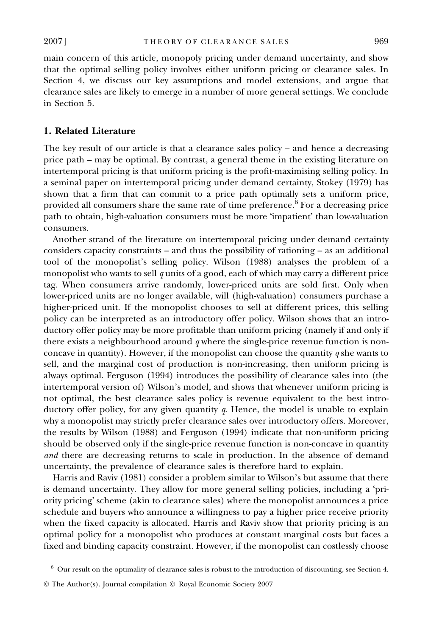main concern of this article, monopoly pricing under demand uncertainty, and show that the optimal selling policy involves either uniform pricing or clearance sales. In Section 4, we discuss our key assumptions and model extensions, and argue that clearance sales are likely to emerge in a number of more general settings. We conclude in Section 5.

## 1. Related Literature

The key result of our article is that a clearance sales policy – and hence a decreasing price path – may be optimal. By contrast, a general theme in the existing literature on intertemporal pricing is that uniform pricing is the profit-maximising selling policy. In a seminal paper on intertemporal pricing under demand certainty, Stokey (1979) has shown that a firm that can commit to a price path optimally sets a uniform price, provided all consumers share the same rate of time preference.<sup>6</sup> For a decreasing price path to obtain, high-valuation consumers must be more 'impatient' than low-valuation consumers.

Another strand of the literature on intertemporal pricing under demand certainty considers capacity constraints – and thus the possibility of rationing – as an additional tool of the monopolist's selling policy. Wilson (1988) analyses the problem of a monopolist who wants to sell q units of a good, each of which may carry a different price tag. When consumers arrive randomly, lower-priced units are sold first. Only when lower-priced units are no longer available, will (high-valuation) consumers purchase a higher-priced unit. If the monopolist chooses to sell at different prices, this selling policy can be interpreted as an introductory offer policy. Wilson shows that an introductory offer policy may be more profitable than uniform pricing (namely if and only if there exists a neighbourhood around  $q$  where the single-price revenue function is nonconcave in quantity). However, if the monopolist can choose the quantity  $q$  she wants to sell, and the marginal cost of production is non-increasing, then uniform pricing is always optimal. Ferguson (1994) introduces the possibility of clearance sales into (the intertemporal version of) Wilson's model, and shows that whenever uniform pricing is not optimal, the best clearance sales policy is revenue equivalent to the best introductory offer policy, for any given quantity  $q$ . Hence, the model is unable to explain why a monopolist may strictly prefer clearance sales over introductory offers. Moreover, the results by Wilson (1988) and Ferguson (1994) indicate that non-uniform pricing should be observed only if the single-price revenue function is non-concave in quantity and there are decreasing returns to scale in production. In the absence of demand uncertainty, the prevalence of clearance sales is therefore hard to explain.

Harris and Raviv (1981) consider a problem similar to Wilson's but assume that there is demand uncertainty. They allow for more general selling policies, including a 'priority pricing scheme (akin to clearance sales) where the monopolist announces a price schedule and buyers who announce a willingness to pay a higher price receive priority when the fixed capacity is allocated. Harris and Raviv show that priority pricing is an optimal policy for a monopolist who produces at constant marginal costs but faces a fixed and binding capacity constraint. However, if the monopolist can costlessly choose

<sup>6</sup> Our result on the optimality of clearance sales is robust to the introduction of discounting, see Section 4.

<sup>©</sup> The Author(s). Journal compilation © Royal Economic Society 2007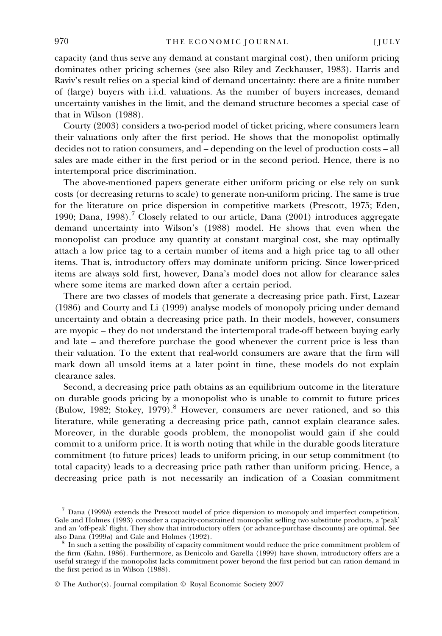capacity (and thus serve any demand at constant marginal cost), then uniform pricing dominates other pricing schemes (see also Riley and Zeckhauser, 1983). Harris and Raviv's result relies on a special kind of demand uncertainty: there are a finite number of (large) buyers with i.i.d. valuations. As the number of buyers increases, demand uncertainty vanishes in the limit, and the demand structure becomes a special case of that in Wilson (1988).

Courty (2003) considers a two-period model of ticket pricing, where consumers learn their valuations only after the first period. He shows that the monopolist optimally decides not to ration consumers, and – depending on the level of production costs – all sales are made either in the first period or in the second period. Hence, there is no intertemporal price discrimination.

The above-mentioned papers generate either uniform pricing or else rely on sunk costs (or decreasing returns to scale) to generate non-uniform pricing. The same is true for the literature on price dispersion in competitive markets (Prescott, 1975; Eden, 1990; Dana, 1998).<sup>7</sup> Closely related to our article, Dana (2001) introduces aggregate demand uncertainty into Wilson's (1988) model. He shows that even when the monopolist can produce any quantity at constant marginal cost, she may optimally attach a low price tag to a certain number of items and a high price tag to all other items. That is, introductory offers may dominate uniform pricing. Since lower-priced items are always sold first, however, Dana's model does not allow for clearance sales where some items are marked down after a certain period.

There are two classes of models that generate a decreasing price path. First, Lazear (1986) and Courty and Li (1999) analyse models of monopoly pricing under demand uncertainty and obtain a decreasing price path. In their models, however, consumers are myopic – they do not understand the intertemporal trade-off between buying early and late – and therefore purchase the good whenever the current price is less than their valuation. To the extent that real-world consumers are aware that the firm will mark down all unsold items at a later point in time, these models do not explain clearance sales.

Second, a decreasing price path obtains as an equilibrium outcome in the literature on durable goods pricing by a monopolist who is unable to commit to future prices (Bulow, 1982; Stokey, 1979).<sup>8</sup> However, consumers are never rationed, and so this literature, while generating a decreasing price path, cannot explain clearance sales. Moreover, in the durable goods problem, the monopolist would gain if she could commit to a uniform price. It is worth noting that while in the durable goods literature commitment (to future prices) leads to uniform pricing, in our setup commitment (to total capacity) leads to a decreasing price path rather than uniform pricing. Hence, a decreasing price path is not necessarily an indication of a Coasian commitment

 $<sup>7</sup>$  Dana (1999b) extends the Prescott model of price dispersion to monopoly and imperfect competition.</sup> Gale and Holmes (1993) consider a capacity-constrained monopolist selling two substitute products, a 'peak' and an 'off-peak' flight. They show that introductory offers (or advance-purchase discounts) are optimal. See also Dana (1999*a*) and Gale and Holmes (1992).<br><sup>8</sup> In such a setting the possibility of capacity commitment would reduce the price commitment problem of

the firm (Kahn, 1986). Furthermore, as Denicolo and Garella (1999) have shown, introductory offers are a useful strategy if the monopolist lacks commitment power beyond the first period but can ration demand in the first period as in Wilson (1988).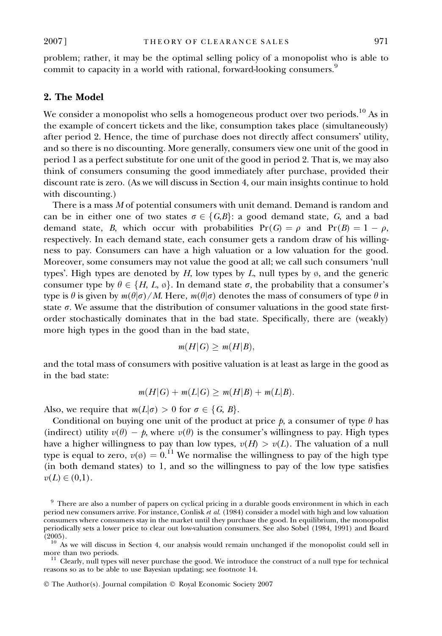problem; rather, it may be the optimal selling policy of a monopolist who is able to commit to capacity in a world with rational, forward-looking consumers.<sup>9</sup>

# 2. The Model

We consider a monopolist who sells a homogeneous product over two periods. $^{10}$  As in the example of concert tickets and the like, consumption takes place (simultaneously) after period 2. Hence, the time of purchase does not directly affect consumers' utility, and so there is no discounting. More generally, consumers view one unit of the good in period 1 as a perfect substitute for one unit of the good in period 2. That is, we may also think of consumers consuming the good immediately after purchase, provided their discount rate is zero. (As we will discuss in Section 4, our main insights continue to hold with discounting.)

There is a mass M of potential consumers with unit demand. Demand is random and can be in either one of two states  $\sigma \in \{G, B\}$ : a good demand state, G, and a bad demand state, B, which occur with probabilities  $Pr(G) = \rho$  and  $Pr(B) = 1 - \rho$ , respectively. In each demand state, each consumer gets a random draw of his willingness to pay. Consumers can have a high valuation or a low valuation for the good. Moreover, some consumers may not value the good at all; we call such consumers 'null types'. High types are denoted by  $H$ , low types by  $L$ , null types by  $\emptyset$ , and the generic consumer type by  $\theta \in \{H, L, \phi\}$ . In demand state  $\sigma$ , the probability that a consumer's type is  $\theta$  is given by  $m(\theta|\sigma)/M$ . Here,  $m(\theta|\sigma)$  denotes the mass of consumers of type  $\theta$  in state  $\sigma$ . We assume that the distribution of consumer valuations in the good state firstorder stochastically dominates that in the bad state. Specifically, there are (weakly) more high types in the good than in the bad state,

$$
m(H|G) \ge m(H|B),
$$

and the total mass of consumers with positive valuation is at least as large in the good as in the bad state:

$$
m(H|G) + m(L|G) \ge m(H|B) + m(L|B).
$$

Also, we require that  $m(L|\sigma) > 0$  for  $\sigma \in \{G, B\}.$ 

Conditional on buying one unit of the product at price  $p$ , a consumer of type  $\theta$  has (indirect) utility  $v(\theta) - p$ , where  $v(\theta)$  is the consumer's willingness to pay. High types have a higher willingness to pay than low types,  $v(H) > v(L)$ . The valuation of a null type is equal to zero,  $v(\emptyset) = 0.11$  We normalise the willingness to pay of the high type  $\lim_{x \to a}$  both demand states) to 1, and so the willingness to pay of the low type satisfies  $v(L) \in (0,1)$ .

<sup>9</sup> There are also a number of papers on cyclical pricing in a durable goods environment in which in each period new consumers arrive. For instance, Conlisk et al. (1984) consider a model with high and low valuation consumers where consumers stay in the market until they purchase the good. In equilibrium, the monopolist periodically sets a lower price to clear out low-valuation consumers. See also Sobel (1984, 1991) and Board

 $(2005)$ . The As we will discuss in Section 4, our analysis would remain unchanged if the monopolist could sell in more than two periods.

 $11$  Clearly, null types will never purchase the good. We introduce the construct of a null type for technical reasons so as to be able to use Bayesian updating; see footnote 14.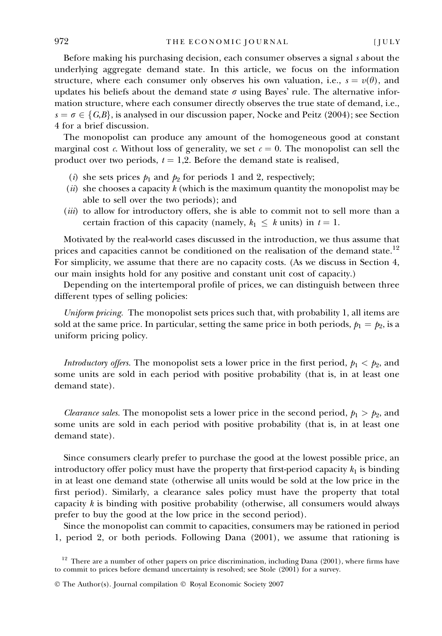Before making his purchasing decision, each consumer observes a signal s about the underlying aggregate demand state. In this article, we focus on the information structure, where each consumer only observes his own valuation, i.e.,  $s = v(\theta)$ , and updates his beliefs about the demand state  $\sigma$  using Bayes' rule. The alternative information structure, where each consumer directly observes the true state of demand, i.e.,  $s = \sigma \in \{G, B\}$ , is analysed in our discussion paper, Nocke and Peitz (2004); see Section 4 for a brief discussion.

The monopolist can produce any amount of the homogeneous good at constant marginal cost c. Without loss of generality, we set  $c = 0$ . The monopolist can sell the product over two periods,  $t = 1,2$ . Before the demand state is realised,

- (*i*) she sets prices  $p_1$  and  $p_2$  for periods 1 and 2, respectively;
- (ii) she chooses a capacity k (which is the maximum quantity the monopolist may be able to sell over the two periods); and
- (iii) to allow for introductory offers, she is able to commit not to sell more than a certain fraction of this capacity (namely,  $k_1 \leq k$  units) in  $t = 1$ .

Motivated by the real-world cases discussed in the introduction, we thus assume that prices and capacities cannot be conditioned on the realisation of the demand state.<sup>12</sup> For simplicity, we assume that there are no capacity costs. (As we discuss in Section 4, our main insights hold for any positive and constant unit cost of capacity.)

Depending on the intertemporal profile of prices, we can distinguish between three different types of selling policies:

Uniform pricing. The monopolist sets prices such that, with probability 1, all items are sold at the same price. In particular, setting the same price in both periods,  $p_1 = p_2$ , is a uniform pricing policy.

*Introductory offers.* The monopolist sets a lower price in the first period,  $p_1 < p_2$ , and some units are sold in each period with positive probability (that is, in at least one demand state).

*Clearance sales.* The monopolist sets a lower price in the second period,  $p_1 > p_2$ , and some units are sold in each period with positive probability (that is, in at least one demand state).

Since consumers clearly prefer to purchase the good at the lowest possible price, an introductory offer policy must have the property that first-period capacity  $k_1$  is binding in at least one demand state (otherwise all units would be sold at the low price in the first period). Similarly, a clearance sales policy must have the property that total capacity  $k$  is binding with positive probability (otherwise, all consumers would always prefer to buy the good at the low price in the second period).

Since the monopolist can commit to capacities, consumers may be rationed in period 1, period 2, or both periods. Following Dana (2001), we assume that rationing is

 $12$  There are a number of other papers on price discrimination, including Dana (2001), where firms have to commit to prices before demand uncertainty is resolved; see Stole (2001) for a survey.

<sup>©</sup> The Author(s). Journal compilation © Royal Economic Society 2007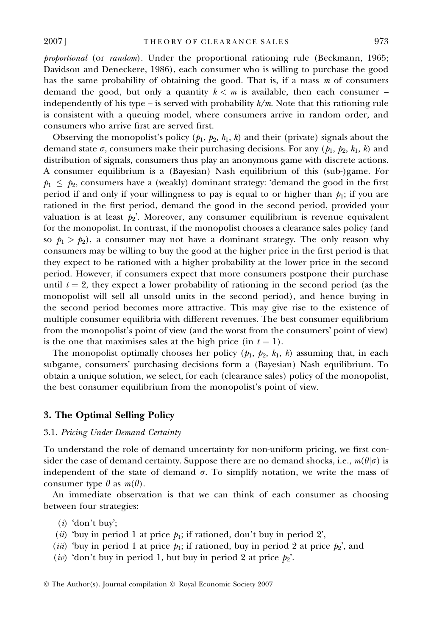proportional (or random). Under the proportional rationing rule (Beckmann, 1965; Davidson and Deneckere, 1986), each consumer who is willing to purchase the good has the same probability of obtaining the good. That is, if a mass  $m$  of consumers demand the good, but only a quantity  $k < m$  is available, then each consumer – independently of his type – is served with probability  $k/m$ . Note that this rationing rule is consistent with a queuing model, where consumers arrive in random order, and consumers who arrive first are served first.

Observing the monopolist's policy  $(p_1, p_2, k_1, k)$  and their (private) signals about the demand state  $\sigma$ , consumers make their purchasing decisions. For any ( $p_1$ ,  $p_2$ ,  $k_1$ , k) and distribution of signals, consumers thus play an anonymous game with discrete actions. A consumer equilibrium is a (Bayesian) Nash equilibrium of this (sub-)game. For  $p_1\leq p_2$ , consumers have a (weakly) dominant strategy: 'demand the good in the first period if and only if your willingness to pay is equal to or higher than  $p_1$ ; if you are rationed in the first period, demand the good in the second period, provided your valuation is at least  $p_2$ <sup>'</sup>. Moreover, any consumer equilibrium is revenue equivalent for the monopolist. In contrast, if the monopolist chooses a clearance sales policy (and so  $p_1 > p_2$ ), a consumer may not have a dominant strategy. The only reason why consumers may be willing to buy the good at the higher price in the first period is that they expect to be rationed with a higher probability at the lower price in the second period. However, if consumers expect that more consumers postpone their purchase until  $t = 2$ , they expect a lower probability of rationing in the second period (as the monopolist will sell all unsold units in the second period), and hence buying in the second period becomes more attractive. This may give rise to the existence of multiple consumer equilibria with different revenues. The best consumer equilibrium from the monopolist's point of view (and the worst from the consumers' point of view) is the one that maximises sales at the high price (in  $t = 1$ ).

The monopolist optimally chooses her policy  $(p_1, p_2, k_1, k)$  assuming that, in each subgame, consumers' purchasing decisions form a (Bayesian) Nash equilibrium. To obtain a unique solution, we select, for each (clearance sales) policy of the monopolist, the best consumer equilibrium from the monopolist's point of view.

## 3. The Optimal Selling Policy

## 3.1. Pricing Under Demand Certainty

To understand the role of demand uncertainty for non-uniform pricing, we first consider the case of demand certainty. Suppose there are no demand shocks, i.e.,  $m(\theta|\sigma)$  is independent of the state of demand  $\sigma$ . To simplify notation, we write the mass of consumer type  $\theta$  as  $m(\theta)$ .

An immediate observation is that we can think of each consumer as choosing between four strategies:

- (i) -don't buy;
- (*ii*) 'buy in period 1 at price  $p_1$ ; if rationed, don't buy in period 2',
- (*iii*) 'buy in period 1 at price  $p_1$ ; if rationed, buy in period 2 at price  $p_2$ ', and
- (*iv*) 'don't buy in period 1, but buy in period 2 at price  $p_2$ '.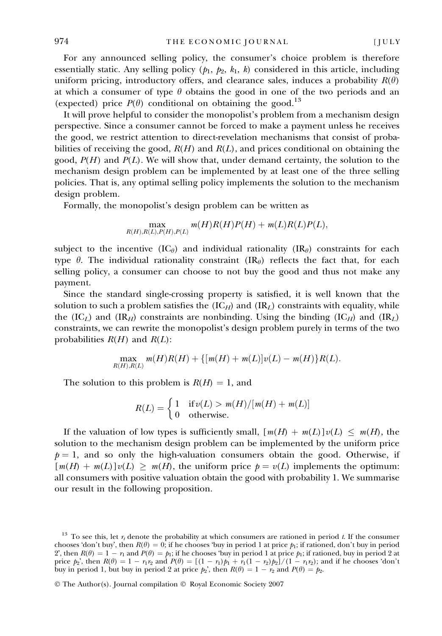For any announced selling policy, the consumer's choice problem is therefore essentially static. Any selling policy  $(p_1, p_2, k_1, k)$  considered in this article, including uniform pricing, introductory offers, and clearance sales, induces a probability  $R(\theta)$ at which a consumer of type  $\theta$  obtains the good in one of the two periods and an (expected) price  $P(\theta)$  conditional on obtaining the good.<sup>13</sup>

It will prove helpful to consider the monopolist's problem from a mechanism design perspective. Since a consumer cannot be forced to make a payment unless he receives the good, we restrict attention to direct-revelation mechanisms that consist of probabilities of receiving the good,  $R(H)$  and  $R(L)$ , and prices conditional on obtaining the good,  $P(H)$  and  $P(L)$ . We will show that, under demand certainty, the solution to the mechanism design problem can be implemented by at least one of the three selling policies. That is, any optimal selling policy implements the solution to the mechanism design problem.

Formally, the monopolist's design problem can be written as

$$
\max_{R(H), R(L), P(H), P(L)} m(H)R(H)P(H) + m(L)R(L)P(L),
$$

subject to the incentive (IC<sub>0</sub>) and individual rationality (IR<sub>0</sub>) constraints for each type  $\theta$ . The individual rationality constraint (IR<sub> $\theta$ </sub>) reflects the fact that, for each selling policy, a consumer can choose to not buy the good and thus not make any payment.

Since the standard single-crossing property is satisfied, it is well known that the solution to such a problem satisfies the  $(IC_H)$  and  $(IR_L)$  constraints with equality, while the (IC<sub>L</sub>) and (IR<sub>H</sub>) constraints are nonbinding. Using the binding (IC<sub>H</sub>) and (IR<sub>L</sub>) constraints, we can rewrite the monopolist's design problem purely in terms of the two probabilities  $R(H)$  and  $R(L)$ :

$$
\max_{R(H),R(L)} m(H)R(H) + \{[m(H) + m(L)]v(L) - m(H)\}R(L).
$$

The solution to this problem is  $R(H) = 1$ , and

$$
R(L) = \begin{cases} 1 & \text{if } v(L) > m(H) / [m(H) + m(L)] \\ 0 & \text{otherwise.} \end{cases}
$$

If the valuation of low types is sufficiently small,  $[m(H) + m(L)]\nu(L) \leq m(H)$ , the solution to the mechanism design problem can be implemented by the uniform price  $p = 1$ , and so only the high-valuation consumers obtain the good. Otherwise, if  $[m(H) + m(L)]v(L) \geq m(H)$ , the uniform price  $p = v(L)$  implements the optimum: all consumers with positive valuation obtain the good with probability 1. We summarise our result in the following proposition.

<sup>&</sup>lt;sup>13</sup> To see this, let  $r_t$  denote the probability at which consumers are rationed in period t. If the consumer chooses 'don't buy', then  $R(\theta) = 0$ ; if he chooses 'buy in period 1 at price  $p_1$ ; if rationed, don't buy in period 2', then  $R(\theta) = 1 - r_1$  and  $P(\theta) = p_1$ ; if he chooses 'buy in period 1 at price  $p_1$ ; if rationed, buy in period 2 at price  $p_2$ ', then  $R(\theta) = 1 - r_1r_2$  and  $P(\theta) = [(1 - r_1)p_1 + r_1(1 - r_2)p_2]/(1 - r_1r_2)$ ; and if he chooses 'don't buy in period 1, but buy in period 2 at price  $p_2$ , then  $R(\theta) = 1 - r_2$  and  $P(\theta) = p_2$ .

<sup>©</sup> The Author(s). Journal compilation © Royal Economic Society 2007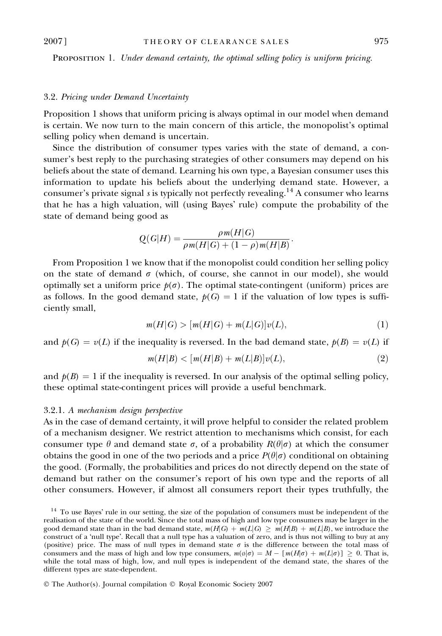PROPOSITION 1. Under demand certainty, the optimal selling policy is uniform pricing.

## 3.2. Pricing under Demand Uncertainty

Proposition 1 shows that uniform pricing is always optimal in our model when demand is certain. We now turn to the main concern of this article, the monopolist's optimal selling policy when demand is uncertain.

Since the distribution of consumer types varies with the state of demand, a consumer's best reply to the purchasing strategies of other consumers may depend on his beliefs about the state of demand. Learning his own type, a Bayesian consumer uses this information to update his beliefs about the underlying demand state. However, a consumer's private signal s is typically not perfectly revealing.14 A consumer who learns that he has a high valuation, will (using Bayes' rule) compute the probability of the state of demand being good as

$$
Q(G|H) = \frac{\rho m(H|G)}{\rho m(H|G) + (1-\rho)m(H|B)}.
$$

From Proposition 1 we know that if the monopolist could condition her selling policy on the state of demand  $\sigma$  (which, of course, she cannot in our model), she would optimally set a uniform price  $p(\sigma)$ . The optimal state-contingent (uniform) prices are as follows. In the good demand state,  $p(G) = 1$  if the valuation of low types is sufficiently small,

$$
m(H|G) > [m(H|G) + m(L|G)]v(L), \tag{1}
$$

and  $p(G) = v(L)$  if the inequality is reversed. In the bad demand state,  $p(B) = v(L)$  if

$$
m(H|B) < [m(H|B) + m(L|B)]v(L),\tag{2}
$$

and  $p(B) = 1$  if the inequality is reversed. In our analysis of the optimal selling policy, these optimal state-contingent prices will provide a useful benchmark.

### 3.2.1. A mechanism design perspective

As in the case of demand certainty, it will prove helpful to consider the related problem of a mechanism designer. We restrict attention to mechanisms which consist, for each consumer type  $\theta$  and demand state  $\sigma$ , of a probability  $R(\theta|\sigma)$  at which the consumer obtains the good in one of the two periods and a price  $P(\theta|\sigma)$  conditional on obtaining the good. (Formally, the probabilities and prices do not directly depend on the state of demand but rather on the consumer's report of his own type and the reports of all other consumers. However, if almost all consumers report their types truthfully, the

<sup>&</sup>lt;sup>14</sup> To use Bayes' rule in our setting, the size of the population of consumers must be independent of the realisation of the state of the world. Since the total mass of high and low type consumers may be larger in the good demand state than in the bad demand state,  $m(H|G) + m(L|G) \geq m(H|B) + m(L|B)$ , we introduce the construct of a 'null type'. Recall that a null type has a valuation of zero, and is thus not willing to buy at any (positive) price. The mass of null types in demand state  $\sigma$  is the difference between the total mass of consumers and the mass of high and low type consumers,  $m(\phi|\sigma) = M - [m(H|\sigma) + m(L|\sigma)] \geq 0$ . That is, while the total mass of high, low, and null types is independent of the demand state, the shares of the different types are state-dependent.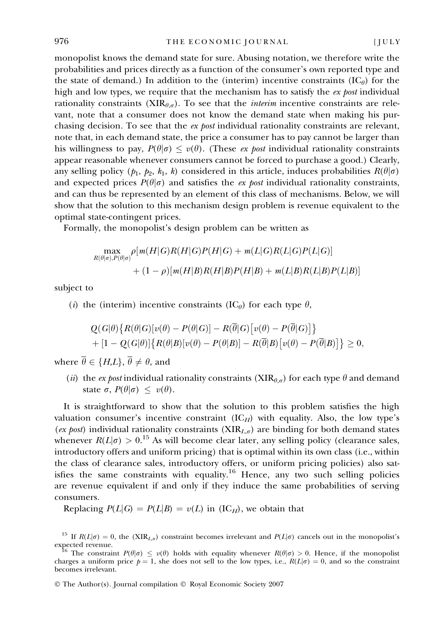monopolist knows the demand state for sure. Abusing notation, we therefore write the probabilities and prices directly as a function of the consumer's own reported type and the state of demand.) In addition to the (interim) incentive constraints  $(IC_{\theta})$  for the high and low types, we require that the mechanism has to satisfy the  $ex$  post individual rationality constraints ( $XIR_{\theta,\sigma}$ ). To see that the *interim* incentive constraints are relevant, note that a consumer does not know the demand state when making his purchasing decision. To see that the *ex post* individual rationality constraints are relevant, note that, in each demand state, the price a consumer has to pay cannot be larger than his willingness to pay,  $P(\theta|\sigma) \leq v(\theta)$ . (These *ex post* individual rationality constraints appear reasonable whenever consumers cannot be forced to purchase a good.) Clearly, any selling policy ( $p_1$ ,  $p_2$ ,  $k_1$ ,  $k$ ) considered in this article, induces probabilities  $R(\theta|\sigma)$ and expected prices  $P(\theta|\sigma)$  and satisfies the *ex post* individual rationality constraints, and can thus be represented by an element of this class of mechanisms. Below, we will show that the solution to this mechanism design problem is revenue equivalent to the optimal state-contingent prices.

Formally, the monopolist's design problem can be written as

$$
\max_{R(\theta|\sigma), P(\theta|\sigma)} \rho[m(H|G)R(H|G)P(H|G) + m(L|G)R(L|G)P(L|G)]
$$
  
+ 
$$
(1 - \rho)[m(H|B)R(H|B)P(H|B) + m(L|B)R(L|B)P(L|B)]
$$

subject to

(i) the (interim) incentive constraints (IC $_{\theta}$ ) for each type  $\theta$ ,

$$
Q(G|\theta)\big\{R(\theta|G)[v(\theta) - P(\theta|G)] - R(\overline{\theta}|G)[v(\theta) - P(\overline{\theta}|G)]\big\}
$$
  
+ 
$$
[1 - Q(G|\theta)]\big\{R(\theta|B)[v(\theta) - P(\theta|B)] - R(\overline{\theta}|B)[v(\theta) - P(\overline{\theta}|B)]\big\} \ge 0,
$$

where  $\overline{\theta} \in \{H,L\}, \overline{\theta} \neq \theta$ , and

(ii) the ex post individual rationality constraints  $(XIR_{\theta,\sigma})$  for each type  $\theta$  and demand state  $\sigma$ ,  $P(\theta|\sigma) < v(\theta)$ .

It is straightforward to show that the solution to this problem satisfies the high valuation consumer's incentive constraint  $(IC_H)$  with equality. Also, the low type's (ex post) individual rationality constraints  $(XIR_{L,\sigma})$  are binding for both demand states whenever  $R(L|\sigma) > 0.15$  As will become clear later, any selling policy (clearance sales, introductory offers and uniform pricing) that is optimal within its own class (i.e., within the class of clearance sales, introductory offers, or uniform pricing policies) also satisfies the same constraints with equality.<sup>16</sup> Hence, any two such selling policies are revenue equivalent if and only if they induce the same probabilities of serving consumers.

Replacing  $P(L|G) = P(L|B) = v(L)$  in  $(IC_H)$ , we obtain that

<sup>&</sup>lt;sup>15</sup> If  $R(L|\sigma) = 0$ , the (XIR<sub>L, $\sigma$ </sub>) constraint becomes irrelevant and  $P(L|\sigma)$  cancels out in the monopolist's expected revenue.

<sup>&</sup>lt;sup>16</sup> The constraint  $P(\theta|\sigma) < v(\theta)$  holds with equality whenever  $R(\theta|\sigma) > 0$ . Hence, if the monopolist charges a uniform price  $p = 1$ , she does not sell to the low types, i.e.,  $R(L|\sigma) = 0$ , and so the constraint becomes irrelevant.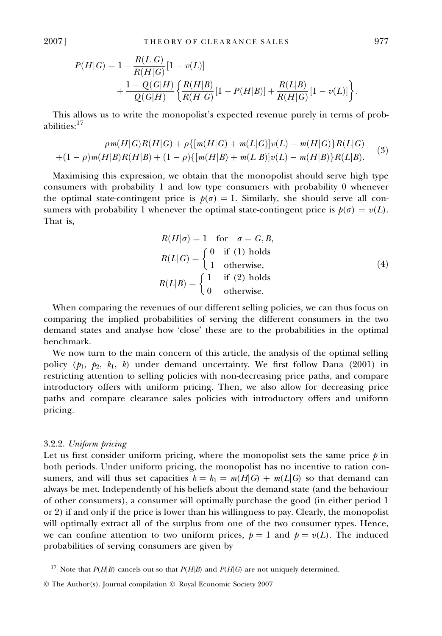$$
P(H|G) = 1 - \frac{R(L|G)}{R(H|G)}[1 - v(L)] + \frac{1 - Q(G|H)}{Q(G|H)} \left\{ \frac{R(H|B)}{R(H|G)}[1 - P(H|B)] + \frac{R(L|B)}{R(H|G)}[1 - v(L)] \right\}.
$$

This allows us to write the monopolist's expected revenue purely in terms of probabilities:<sup>17</sup>

$$
\rho m(H|G)R(H|G) + \rho \{ [m(H|G) + m(L|G)]v(L) - m(H|G) \}R(L|G)
$$
  
+(1- $\rho$ ) $m(H|B)R(H|B)$  + (1- $\rho$ ) $\{ [m(H|B) + m(L|B)]v(L) - m(H|B) \}R(L|B).$  (3)

Maximising this expression, we obtain that the monopolist should serve high type consumers with probability 1 and low type consumers with probability 0 whenever the optimal state-contingent price is  $p(\sigma) = 1$ . Similarly, she should serve all consumers with probability 1 whenever the optimal state-contingent price is  $p(\sigma) = v(L)$ . That is,

$$
R(H|\sigma) = 1 \quad \text{for} \quad \sigma = G, B,
$$
  
\n
$$
R(L|G) = \begin{cases} 0 & \text{if } (1) \text{ holds} \\ 1 & \text{otherwise,} \end{cases}
$$
  
\n
$$
R(L|B) = \begin{cases} 1 & \text{if } (2) \text{ holds} \\ 0 & \text{otherwise.} \end{cases}
$$
 (4)

When comparing the revenues of our different selling policies, we can thus focus on comparing the implied probabilities of serving the different consumers in the two demand states and analyse how -close these are to the probabilities in the optimal benchmark.

We now turn to the main concern of this article, the analysis of the optimal selling policy  $(p_1, p_2, k_1, k)$  under demand uncertainty. We first follow Dana (2001) in restricting attention to selling policies with non-decreasing price paths, and compare introductory offers with uniform pricing. Then, we also allow for decreasing price paths and compare clearance sales policies with introductory offers and uniform pricing.

#### 3.2.2. Uniform pricing

Let us first consider uniform pricing, where the monopolist sets the same price  $\dot{p}$  in both periods. Under uniform pricing, the monopolist has no incentive to ration consumers, and will thus set capacities  $k = k_1 = m(H|G) + m(L|G)$  so that demand can always be met. Independently of his beliefs about the demand state (and the behaviour of other consumers), a consumer will optimally purchase the good (in either period 1 or 2) if and only if the price is lower than his willingness to pay. Clearly, the monopolist will optimally extract all of the surplus from one of the two consumer types. Hence, we can confine attention to two uniform prices,  $p = 1$  and  $p = v(L)$ . The induced probabilities of serving consumers are given by

<sup>&</sup>lt;sup>17</sup> Note that  $P(H|B)$  cancels out so that  $P(H|B)$  and  $P(H|G)$  are not uniquely determined.

<sup>©</sup> The Author(s). Journal compilation © Royal Economic Society 2007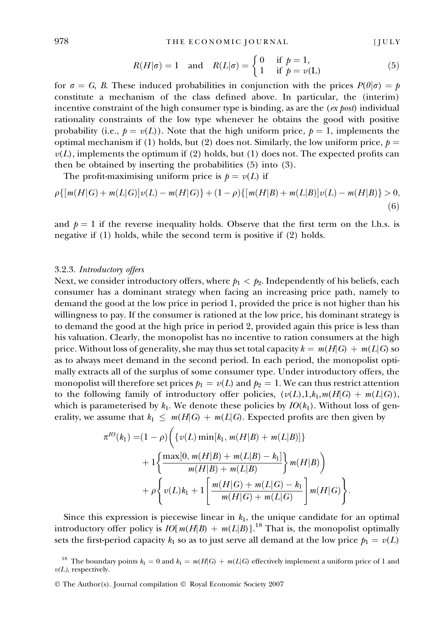$$
R(H|\sigma) = 1 \quad \text{and} \quad R(L|\sigma) = \begin{cases} 0 & \text{if } \rho = 1, \\ 1 & \text{if } \rho = v(\mathcal{L}) \end{cases} \tag{5}
$$

for  $\sigma = G$ , B. These induced probabilities in conjunction with the prices  $P(\theta|\sigma) = p$ constitute a mechanism of the class defined above. In particular, the (interim) incentive constraint of the high consumer type is binding, as are the  $(ex\ post)$  individual rationality constraints of the low type whenever he obtains the good with positive probability (i.e.,  $p = v(L)$ ). Note that the high uniform price,  $p = 1$ , implements the optimal mechanism if (1) holds, but (2) does not. Similarly, the low uniform price,  $p =$  $v(L)$ , implements the optimum if (2) holds, but (1) does not. The expected profits can then be obtained by inserting the probabilities (5) into (3).

The profit-maximising uniform price is  $p = v(L)$  if

$$
\rho\{[m(H|G) + m(L|G)]v(L) - m(H|G)\} + (1-\rho)\{[m(H|B) + m(L|B)]v(L) - m(H|B)\} > 0,
$$
\n(6)

and  $p = 1$  if the reverse inequality holds. Observe that the first term on the l.h.s. is negative if (1) holds, while the second term is positive if (2) holds.

### 3.2.3. Introductory offers

Next, we consider introductory offers, where  $p_1 < p_2$ . Independently of his beliefs, each consumer has a dominant strategy when facing an increasing price path, namely to demand the good at the low price in period 1, provided the price is not higher than his willingness to pay. If the consumer is rationed at the low price, his dominant strategy is to demand the good at the high price in period 2, provided again this price is less than his valuation. Clearly, the monopolist has no incentive to ration consumers at the high price. Without loss of generality, she may thus set total capacity  $k = m(H|G) + m(L|G)$  so as to always meet demand in the second period. In each period, the monopolist optimally extracts all of the surplus of some consumer type. Under introductory offers, the monopolist will therefore set prices  $p_1 = v(L)$  and  $p_2 = 1$ . We can thus restrict attention to the following family of introductory offer policies,  $(v(L),1,k_1,m(H|G) + m(L|G))$ , which is parameterised by  $k_1$ . We denote these policies by  $IO(k_1)$ . Without loss of generality, we assume that  $k_1 \leq m(H|G) + m(L|G)$ . Expected profits are then given by

$$
\pi^{IO}(k_1) = (1 - \rho) \bigg( \{ v(L) \min[k_1, m(H|B) + m(L|B)] \} + 1 \bigg\{ \frac{\max[0, m(H|B) + m(L|B) - k_1]}{m(H|B) + m(L|B)} \bigg\} m(H|B) \bigg) + \rho \bigg\{ v(L)k_1 + 1 \bigg[ \frac{m(H|G) + m(L|G) - k_1}{m(H|G) + m(L|G)} \bigg] m(H|G) \bigg\}.
$$

Since this expression is piecewise linear in  $k_1$ , the unique candidate for an optimal introductory offer policy is  $IO[m(H|B) + m(L|B)]$ .<sup>18</sup> That is, the monopolist optimally sets the first-period capacity  $k_1$  so as to just serve all demand at the low price  $p_1 = v(L)$ 

<sup>&</sup>lt;sup>18</sup> The boundary points  $k_1 = 0$  and  $k_1 = m(H|G) + m(L|G)$  effectively implement a uniform price of 1 and  $v(L)$ , respectively.

<sup>©</sup> The Author(s). Journal compilation © Royal Economic Society 2007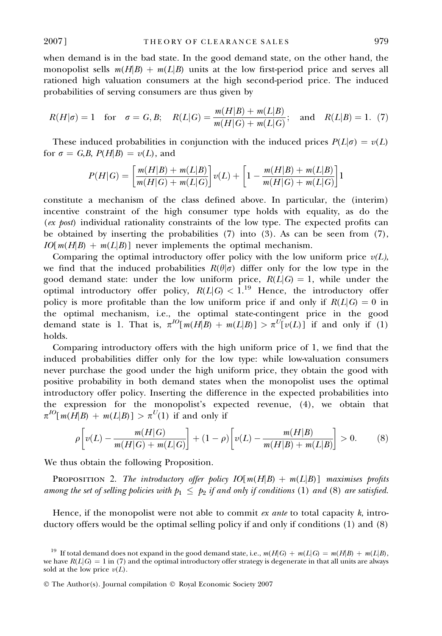when demand is in the bad state. In the good demand state, on the other hand, the monopolist sells  $m(H|B) + m(L|B)$  units at the low first-period price and serves all rationed high valuation consumers at the high second-period price. The induced probabilities of serving consumers are thus given by

$$
R(H|\sigma) = 1
$$
 for  $\sigma = G, B$ ;  $R(L|G) = \frac{m(H|B) + m(L|B)}{m(H|G) + m(L|G)}$ ; and  $R(L|B) = 1$ . (7)

These induced probabilities in conjunction with the induced prices  $P(L|\sigma) = v(L)$ for  $\sigma = G, B, P(H|B) = v(L)$ , and

$$
P(H|G) = \left[\frac{m(H|B) + m(L|B)}{m(H|G) + m(L|G)}\right]v(L) + \left[1 - \frac{m(H|B) + m(L|B)}{m(H|G) + m(L|G)}\right]1
$$

constitute a mechanism of the class defined above. In particular, the (interim) incentive constraint of the high consumer type holds with equality, as do the (ex post) individual rationality constraints of the low type. The expected profits can be obtained by inserting the probabilities  $(7)$  into  $(3)$ . As can be seen from  $(7)$ ,  $IO[m(H|B) + m(L|B)]$  never implements the optimal mechanism.

Comparing the optimal introductory offer policy with the low uniform price  $v(L)$ , we find that the induced probabilities  $R(\theta|\sigma)$  differ only for the low type in the good demand state: under the low uniform price,  $R(L|G) = 1$ , while under the optimal introductory offer policy,  $R(L|G) < 1^{19}$  Hence, the introductory offer policy is more profitable than the low uniform price if and only if  $R(L|G) = 0$  in the optimal mechanism, i.e., the optimal state-contingent price in the good demand state is 1. That is,  $\pi^{IO}[m(H|B) + m(L|B)] > \pi^{U}[v(L)]$  if and only if (1) holds.

Comparing introductory offers with the high uniform price of 1, we find that the induced probabilities differ only for the low type: while low-valuation consumers never purchase the good under the high uniform price, they obtain the good with positive probability in both demand states when the monopolist uses the optimal introductory offer policy. Inserting the difference in the expected probabilities into the expression for the monopolist's expected revenue, (4), we obtain that  $\pi^{IO}[m(H|B) + m(L|B)] > \pi^{U}(1)$  if and only if

$$
\rho \bigg[v(L) - \frac{m(H|G)}{m(H|G) + m(L|G)}\bigg] + (1 - \rho) \bigg[v(L) - \frac{m(H|B)}{m(H|B) + m(L|B)}\bigg] > 0. \tag{8}
$$

We thus obtain the following Proposition.

**PROPOSITION 2.** The introductory offer policy  $IO[m(H|B) + m(L|B)]$  maximises profits among the set of selling policies with  $p_1 \leq p_2$  if and only if conditions (1) and (8) are satisfied.

Hence, if the monopolist were not able to commit  $ex$  ante to total capacity  $k$ , introductory offers would be the optimal selling policy if and only if conditions (1) and (8)

<sup>&</sup>lt;sup>19</sup> If total demand does not expand in the good demand state, i.e.,  $m(H|G) + m(L|G) = m(H|B) + m(L|B)$ , we have  $R(L|G) = 1$  in (7) and the optimal introductory offer strategy is degenerate in that all units are always sold at the low price  $v(L)$ .

<sup>©</sup> The Author(s). Journal compilation © Royal Economic Society 2007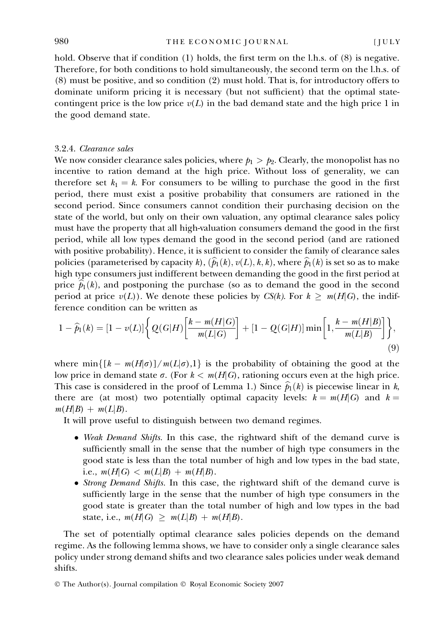hold. Observe that if condition (1) holds, the first term on the l.h.s. of (8) is negative. Therefore, for both conditions to hold simultaneously, the second term on the l.h.s. of (8) must be positive, and so condition (2) must hold. That is, for introductory offers to dominate uniform pricing it is necessary (but not sufficient) that the optimal statecontingent price is the low price  $v(L)$  in the bad demand state and the high price 1 in the good demand state.

#### 3.2.4. Clearance sales

We now consider clearance sales policies, where  $p_1 > p_2$ . Clearly, the monopolist has no incentive to ration demand at the high price. Without loss of generality, we can therefore set  $k_1 = k$ . For consumers to be willing to purchase the good in the first period, there must exist a positive probability that consumers are rationed in the second period. Since consumers cannot condition their purchasing decision on the state of the world, but only on their own valuation, any optimal clearance sales policy must have the property that all high-valuation consumers demand the good in the first period, while all low types demand the good in the second period (and are rationed with positive probability). Hence, it is sufficient to consider the family of clearance sales policies (parameterised by capacity  $k$ ),  $(p_1(k), v(L), k, k)$ , where  $p_1(k)$  is set so as to make high type consumers just indifferent between demanding the good in the first period at price  $p_1(k)$ , and postponing the purchase (so as to demand the good in the second period at price  $v(L)$ ). We denote these policies by CS(k). For  $k \ge m(H|G)$ , the indifference condition can be written as

$$
1 - \widehat{p}_1(k) = [1 - v(L)] \left\{ Q(G|H) \left[ \frac{k - m(H|G)}{m(L|G)} \right] + [1 - Q(G|H)] \min \left[ 1, \frac{k - m(H|B)}{m(L|B)} \right] \right\},\tag{9}
$$

where  $\min\{[k - m(H|\sigma)]/m(L|\sigma),1\}$  is the probability of obtaining the good at the low price in demand state  $\sigma$ . (For  $k < m(H|G)$ , rationing occurs even at the high price. This case is considered in the proof of Lemma 1.) Since  $p_1(k)$  is piecewise linear in k, there are (at most) two potentially optimal capacity levels:  $k = m(H|G)$  and  $k =$  $m(H|B) + m(L|B)$ .

It will prove useful to distinguish between two demand regimes.

- Weak Demand Shifts. In this case, the rightward shift of the demand curve is sufficiently small in the sense that the number of high type consumers in the good state is less than the total number of high and low types in the bad state, i.e.,  $m(H|G) < m(L|B) + m(H|B)$ .
- Strong Demand Shifts. In this case, the rightward shift of the demand curve is sufficiently large in the sense that the number of high type consumers in the good state is greater than the total number of high and low types in the bad state, i.e.,  $m(H|G) \geq m(L|B) + m(H|B)$ .

The set of potentially optimal clearance sales policies depends on the demand regime. As the following lemma shows, we have to consider only a single clearance sales policy under strong demand shifts and two clearance sales policies under weak demand shifts.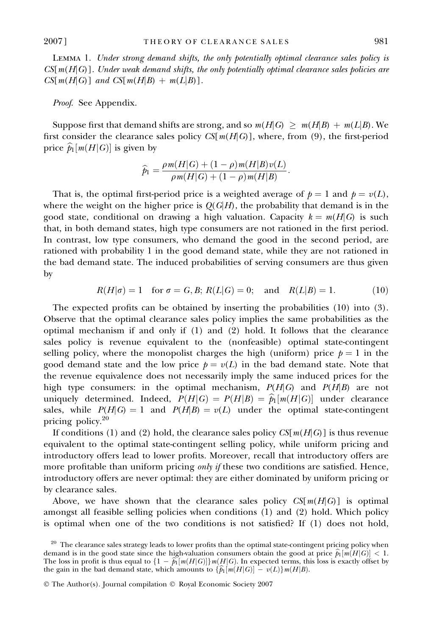Lemma 1. Under strong demand shifts, the only potentially optimal clearance sales policy is  $CS[*m(H|G)*]$ . Under weak demand shifts, the only potentially optimal clearance sales policies are  $CS[m(H|G)]$  and  $CS[m(H|B) + m(L|B)]$ .

Proof. See Appendix.

Suppose first that demand shifts are strong, and so  $m(H|G) \ge m(H|B) + m(L|B)$ . We first consider the clearance sales policy  $CS[m(H|G)]$ , where, from (9), the first-period price  $p_1[m(H|G)]$  is given by

$$
\widehat{p}_1 = \frac{\rho m(H|G) + (1 - \rho)m(H|B)v(L)}{\rho m(H|G) + (1 - \rho)m(H|B)}
$$

That is, the optimal first-period price is a weighted average of  $p = 1$  and  $p = v(L)$ , where the weight on the higher price is  $Q(G|H)$ , the probability that demand is in the good state, conditional on drawing a high valuation. Capacity  $k = m(H|G)$  is such that, in both demand states, high type consumers are not rationed in the first period. In contrast, low type consumers, who demand the good in the second period, are rationed with probability 1 in the good demand state, while they are not rationed in the bad demand state. The induced probabilities of serving consumers are thus given by

 $R(H|\sigma) = 1$  for  $\sigma = G, B; R(L|G) = 0;$  and  $R(L|B) = 1.$  (10)

The expected profits can be obtained by inserting the probabilities (10) into (3). Observe that the optimal clearance sales policy implies the same probabilities as the optimal mechanism if and only if (1) and (2) hold. It follows that the clearance sales policy is revenue equivalent to the (nonfeasible) optimal state-contingent selling policy, where the monopolist charges the high (uniform) price  $p = 1$  in the good demand state and the low price  $p = v(L)$  in the bad demand state. Note that the revenue equivalence does not necessarily imply the same induced prices for the high type consumers: in the optimal mechanism,  $P(H|G)$  and  $P(H|B)$  are not uniquely determined. Indeed,  $P(H|G) = P(H|B) = p_1[m(H|G)]$  under clearance sales, while  $P(H|G) = 1$  and  $P(H|B) = v(L)$  under the optimal state-contingent pricing policy.<sup>20</sup>

If conditions (1) and (2) hold, the clearance sales policy  $CS[m(H|G)]$  is thus revenue equivalent to the optimal state-contingent selling policy, while uniform pricing and introductory offers lead to lower profits. Moreover, recall that introductory offers are more profitable than uniform pricing only if these two conditions are satisfied. Hence, introductory offers are never optimal: they are either dominated by uniform pricing or by clearance sales.

Above, we have shown that the clearance sales policy  $CS[m(H|G)]$  is optimal amongst all feasible selling policies when conditions (1) and (2) hold. Which policy is optimal when one of the two conditions is not satisfied? If (1) does not hold,

<sup>&</sup>lt;sup>20</sup> The clearance sales strategy leads to lower profits than the optimal state-contingent pricing policy when demand is in the good state since the high-valuation consumers obtain the good at price  $\hat{p}_1[m(H|G)] < 1$ . The loss in profit is thus equal to  $\{1 - \hat{p}_1[m(H|G)]\}m(H|G)$ . In expected terms, this loss is exactly offset by the gain in the bad demand state, which amounts to  $\{p_1[m(H|G)] - v(L)\}m(H|B)$ .

<sup>©</sup> The Author(s). Journal compilation © Royal Economic Society 2007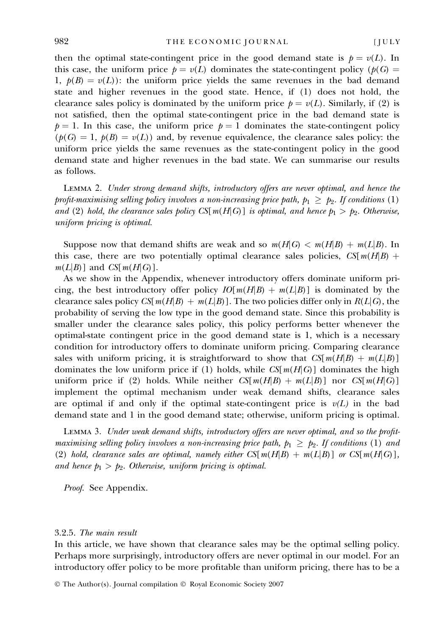then the optimal state-contingent price in the good demand state is  $p = v(L)$ . In this case, the uniform price  $p = v(L)$  dominates the state-contingent policy ( $p(G)$ ) 1,  $p(B) = v(L)$ : the uniform price yields the same revenues in the bad demand state and higher revenues in the good state. Hence, if (1) does not hold, the clearance sales policy is dominated by the uniform price  $p = v(L)$ . Similarly, if (2) is not satisfied, then the optimal state-contingent price in the bad demand state is  $p = 1$ . In this case, the uniform price  $p = 1$  dominates the state-contingent policy  $(p(G) = 1, p(B) = v(L))$  and, by revenue equivalence, the clearance sales policy: the uniform price yields the same revenues as the state-contingent policy in the good demand state and higher revenues in the bad state. We can summarise our results as follows.

Lemma 2. Under strong demand shifts, introductory offers are never optimal, and hence the profit-maximising selling policy involves a non-increasing price path,  $p_1 \geq p_2$ . If conditions (1) and (2) hold, the clearance sales policy CS[m(H|G)] is optimal, and hence  $p_1 > p_2$ . Otherwise, uniform pricing is optimal.

Suppose now that demand shifts are weak and so  $m(H|G) < m(H|B) + m(L|B)$ . In this case, there are two potentially optimal clearance sales policies,  $CS[m(H|B) +$  $m(L|B)$ ] and  $CS[m(H|G)]$ .

As we show in the Appendix, whenever introductory offers dominate uniform pricing, the best introductory offer policy  $IO[m(H|B) + m(L|B)]$  is dominated by the clearance sales policy CS[ $m(H|B) + m(L|B)$ ]. The two policies differ only in  $R(L|G)$ , the probability of serving the low type in the good demand state. Since this probability is smaller under the clearance sales policy, this policy performs better whenever the optimal-state contingent price in the good demand state is 1, which is a necessary condition for introductory offers to dominate uniform pricing. Comparing clearance sales with uniform pricing, it is straightforward to show that  $CS[m(H|B) + m(L|B)]$ dominates the low uniform price if (1) holds, while  $CS[m(H|G)]$  dominates the high uniform price if (2) holds. While neither  $CS[m(H|B) + m(L|B)]$  nor  $CS[m(H|G)]$ implement the optimal mechanism under weak demand shifts, clearance sales are optimal if and only if the optimal state-contingent price is  $v(L)$  in the bad demand state and 1 in the good demand state; otherwise, uniform pricing is optimal.

Lemma 3. Under weak demand shifts, introductory offers are never optimal, and so the profitmaximising selling policy involves a non-increasing price path,  $p_1 \geq p_2$ . If conditions (1) and (2) hold, clearance sales are optimal, namely either  $CS[m(H|B) + m(L|B)]$  or  $CS[m(H|G)]$ , and hence  $p_1 > p_2$ . Otherwise, uniform pricing is optimal.

Proof. See Appendix.

### 3.2.5. The main result

In this article, we have shown that clearance sales may be the optimal selling policy. Perhaps more surprisingly, introductory offers are never optimal in our model. For an introductory offer policy to be more profitable than uniform pricing, there has to be a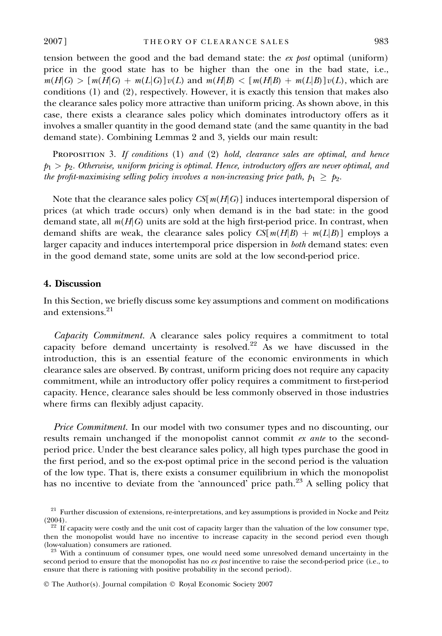tension between the good and the bad demand state: the ex post optimal (uniform) price in the good state has to be higher than the one in the bad state, i.e.,  $m(H|G) > [m(H|G) + m(L|G)]\nu(L)$  and  $m(H|B) < [m(H|B) + m(L|B)]\nu(L)$ , which are conditions (1) and (2), respectively. However, it is exactly this tension that makes also the clearance sales policy more attractive than uniform pricing. As shown above, in this case, there exists a clearance sales policy which dominates introductory offers as it involves a smaller quantity in the good demand state (and the same quantity in the bad demand state). Combining Lemmas 2 and 3, yields our main result:

PROPOSITION 3. If conditions (1) and (2) hold, clearance sales are optimal, and hence  $p_1 > p_2$ . Otherwise, uniform pricing is optimal. Hence, introductory offers are never optimal, and the profit-maximising selling policy involves a non-increasing price path,  $p_1 \geq p_2$ .

Note that the clearance sales policy  $CS[m(H|G)]$  induces intertemporal dispersion of prices (at which trade occurs) only when demand is in the bad state: in the good demand state, all  $m(H|G)$  units are sold at the high first-period price. In contrast, when demand shifts are weak, the clearance sales policy  $CS[m(H|B) + m(L|B)]$  employs a larger capacity and induces intertemporal price dispersion in *both* demand states: even in the good demand state, some units are sold at the low second-period price.

# 4. Discussion

In this Section, we briefly discuss some key assumptions and comment on modifications and extensions.<sup>21</sup>

Capacity Commitment. A clearance sales policy requires a commitment to total capacity before demand uncertainty is resolved. $22$  As we have discussed in the introduction, this is an essential feature of the economic environments in which clearance sales are observed. By contrast, uniform pricing does not require any capacity commitment, while an introductory offer policy requires a commitment to first-period capacity. Hence, clearance sales should be less commonly observed in those industries where firms can flexibly adjust capacity.

Price Commitment. In our model with two consumer types and no discounting, our results remain unchanged if the monopolist cannot commit ex ante to the secondperiod price. Under the best clearance sales policy, all high types purchase the good in the first period, and so the ex-post optimal price in the second period is the valuation of the low type. That is, there exists a consumer equilibrium in which the monopolist has no incentive to deviate from the 'announced' price path.<sup>23</sup> A selling policy that

 $^{21}$  Further discussion of extensions, re-interpretations, and key assumptions is provided in Nocke and Peitz (2004).

 $22<sup>22</sup>$  If capacity were costly and the unit cost of capacity larger than the valuation of the low consumer type, then the monopolist would have no incentive to increase capacity in the second period even though (low-valuation) consumers are rationed.

<sup>&</sup>lt;sup>23</sup> With a continuum of consumer types, one would need some unresolved demand uncertainty in the second period to ensure that the monopolist has no ex post incentive to raise the second-period price (i.e., to ensure that there is rationing with positive probability in the second period).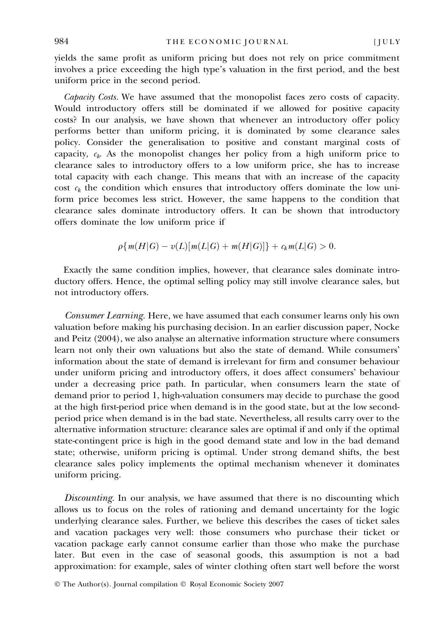yields the same profit as uniform pricing but does not rely on price commitment involves a price exceeding the high type's valuation in the first period, and the best uniform price in the second period.

Capacity Costs. We have assumed that the monopolist faces zero costs of capacity. Would introductory offers still be dominated if we allowed for positive capacity costs? In our analysis, we have shown that whenever an introductory offer policy performs better than uniform pricing, it is dominated by some clearance sales policy. Consider the generalisation to positive and constant marginal costs of capacity,  $c_k$ . As the monopolist changes her policy from a high uniform price to clearance sales to introductory offers to a low uniform price, she has to increase total capacity with each change. This means that with an increase of the capacity cost  $c_k$  the condition which ensures that introductory offers dominate the low uniform price becomes less strict. However, the same happens to the condition that clearance sales dominate introductory offers. It can be shown that introductory offers dominate the low uniform price if

$$
\rho\{m(H|G) - v(L)[m(L|G) + m(H|G)]\} + c_k m(L|G) > 0.
$$

Exactly the same condition implies, however, that clearance sales dominate introductory offers. Hence, the optimal selling policy may still involve clearance sales, but not introductory offers.

Consumer Learning. Here, we have assumed that each consumer learns only his own valuation before making his purchasing decision. In an earlier discussion paper, Nocke and Peitz (2004), we also analyse an alternative information structure where consumers learn not only their own valuations but also the state of demand. While consumers information about the state of demand is irrelevant for firm and consumer behaviour under uniform pricing and introductory offers, it does affect consumers' behaviour under a decreasing price path. In particular, when consumers learn the state of demand prior to period 1, high-valuation consumers may decide to purchase the good at the high first-period price when demand is in the good state, but at the low secondperiod price when demand is in the bad state. Nevertheless, all results carry over to the alternative information structure: clearance sales are optimal if and only if the optimal state-contingent price is high in the good demand state and low in the bad demand state; otherwise, uniform pricing is optimal. Under strong demand shifts, the best clearance sales policy implements the optimal mechanism whenever it dominates uniform pricing.

Discounting. In our analysis, we have assumed that there is no discounting which allows us to focus on the roles of rationing and demand uncertainty for the logic underlying clearance sales. Further, we believe this describes the cases of ticket sales and vacation packages very well: those consumers who purchase their ticket or vacation package early cannot consume earlier than those who make the purchase later. But even in the case of seasonal goods, this assumption is not a bad approximation: for example, sales of winter clothing often start well before the worst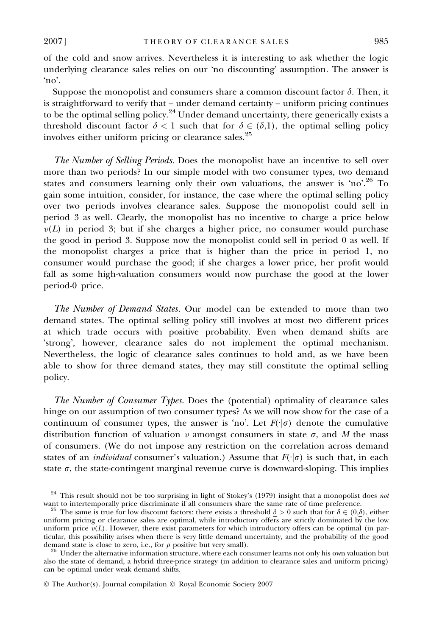of the cold and snow arrives. Nevertheless it is interesting to ask whether the logic underlying clearance sales relies on our 'no discounting' assumption. The answer is -no.

Suppose the monopolist and consumers share a common discount factor  $\delta$ . Then, it is straightforward to verify that – under demand certainty – uniform pricing continues to be the optimal selling policy.<sup>24</sup> Under demand uncertainty, there generically exists a threshold discount factor  $\overline{\delta} < 1$  such that for  $\delta \in (\overline{\delta},1)$ , the optimal selling policy involves either uniform pricing or clearance sales.<sup>25</sup>

The Number of Selling Periods. Does the monopolist have an incentive to sell over more than two periods? In our simple model with two consumer types, two demand states and consumers learning only their own valuations, the answer is 'no'.<sup>26</sup> To gain some intuition, consider, for instance, the case where the optimal selling policy over two periods involves clearance sales. Suppose the monopolist could sell in period 3 as well. Clearly, the monopolist has no incentive to charge a price below  $v(L)$  in period 3; but if she charges a higher price, no consumer would purchase the good in period 3. Suppose now the monopolist could sell in period 0 as well. If the monopolist charges a price that is higher than the price in period 1, no consumer would purchase the good; if she charges a lower price, her profit would fall as some high-valuation consumers would now purchase the good at the lower period-0 price.

The Number of Demand States. Our model can be extended to more than two demand states. The optimal selling policy still involves at most two different prices at which trade occurs with positive probability. Even when demand shifts are -strong, however, clearance sales do not implement the optimal mechanism. Nevertheless, the logic of clearance sales continues to hold and, as we have been able to show for three demand states, they may still constitute the optimal selling policy.

The Number of Consumer Types. Does the (potential) optimality of clearance sales hinge on our assumption of two consumer types? As we will now show for the case of a continuum of consumer types, the answer is 'no'. Let  $F(\cdot|\sigma)$  denote the cumulative distribution function of valuation v amongst consumers in state  $\sigma$ , and M the mass of consumers. (We do not impose any restriction on the correlation across demand states of an *individual* consumer's valuation.) Assume that  $F(\cdot|\sigma)$  is such that, in each state  $\sigma$ , the state-contingent marginal revenue curve is downward-sloping. This implies

<sup>&</sup>lt;sup>24</sup> This result should not be too surprising in light of Stokey's (1979) insight that a monopolist does *not* want to intertemporally price discriminate if all consumers share the same rate of time preference.

<sup>&</sup>lt;sup>25</sup> The same is true for low discount factors: there exists a threshold  $\delta > 0$  such that for  $\delta \in (0,\delta)$ , either uniform pricing or clearance sales are optimal, while introductory offers are strictly dominated by the low uniform price  $v(L)$ . However, there exist parameters for which introductory offers can be optimal (in particular, this possibility arises when there is very little demand uncertainty, and the probability of the good demand state is close to zero, i.e., for  $\rho$  positive but very small).

 $2<sup>6</sup>$  Under the alternative information structure, where each consumer learns not only his own valuation but also the state of demand, a hybrid three-price strategy (in addition to clearance sales and uniform pricing) can be optimal under weak demand shifts.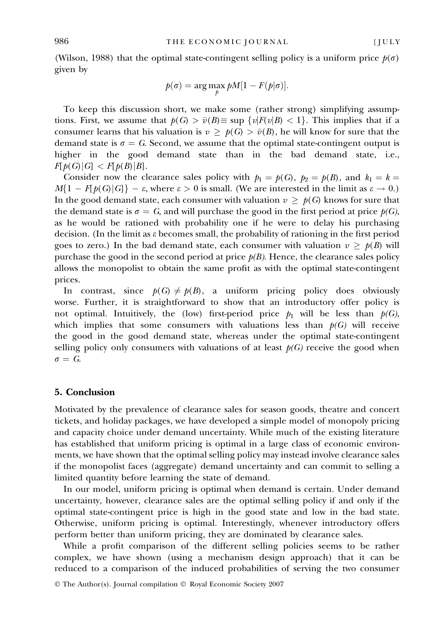(Wilson, 1988) that the optimal state-contingent selling policy is a uniform price  $p(\sigma)$ given by

$$
p(\sigma) = \arg\max_{p} pM[1 - F(p|\sigma)].
$$

To keep this discussion short, we make some (rather strong) simplifying assumptions. First, we assume that  $p(G) > \bar{v}(B) \equiv \sup \{v | F(v|B) < 1\}$ . This implies that if a consumer learns that his valuation is  $v \ge p(G) > \bar{v}(B)$ , he will know for sure that the demand state is  $\sigma = G$ . Second, we assume that the optimal state-contingent output is higher in the good demand state than in the bad demand state, i.e.,  $F[p(G) | G] < F[p(B) | B].$ 

Consider now the clearance sales policy with  $p_1 = p(G)$ ,  $p_2 = p(B)$ , and  $k_1 = k$  $M\{1 - F[\phi(G)|G]\} - \varepsilon$ , where  $\varepsilon > 0$  is small. (We are interested in the limit as  $\varepsilon \to 0$ .) In the good demand state, each consumer with valuation  $v \ge p(G)$  knows for sure that the demand state is  $\sigma = G$ , and will purchase the good in the first period at price  $p(G)$ , as he would be rationed with probability one if he were to delay his purchasing decision. (In the limit as e becomes small, the probability of rationing in the first period goes to zero.) In the bad demand state, each consumer with valuation  $v \geq p(B)$  will purchase the good in the second period at price  $p(B)$ . Hence, the clearance sales policy allows the monopolist to obtain the same profit as with the optimal state-contingent prices.

In contrast, since  $p(G) \neq p(B)$ , a uniform pricing policy does obviously worse. Further, it is straightforward to show that an introductory offer policy is not optimal. Intuitively, the (low) first-period price  $p_1$  will be less than  $p(G)$ , which implies that some consumers with valuations less than  $p(G)$  will receive the good in the good demand state, whereas under the optimal state-contingent selling policy only consumers with valuations of at least  $p(G)$  receive the good when  $\sigma = G$ .

### 5. Conclusion

Motivated by the prevalence of clearance sales for season goods, theatre and concert tickets, and holiday packages, we have developed a simple model of monopoly pricing and capacity choice under demand uncertainty. While much of the existing literature has established that uniform pricing is optimal in a large class of economic environments, we have shown that the optimal selling policy may instead involve clearance sales if the monopolist faces (aggregate) demand uncertainty and can commit to selling a limited quantity before learning the state of demand.

In our model, uniform pricing is optimal when demand is certain. Under demand uncertainty, however, clearance sales are the optimal selling policy if and only if the optimal state-contingent price is high in the good state and low in the bad state. Otherwise, uniform pricing is optimal. Interestingly, whenever introductory offers perform better than uniform pricing, they are dominated by clearance sales.

While a profit comparison of the different selling policies seems to be rather complex, we have shown (using a mechanism design approach) that it can be reduced to a comparison of the induced probabilities of serving the two consumer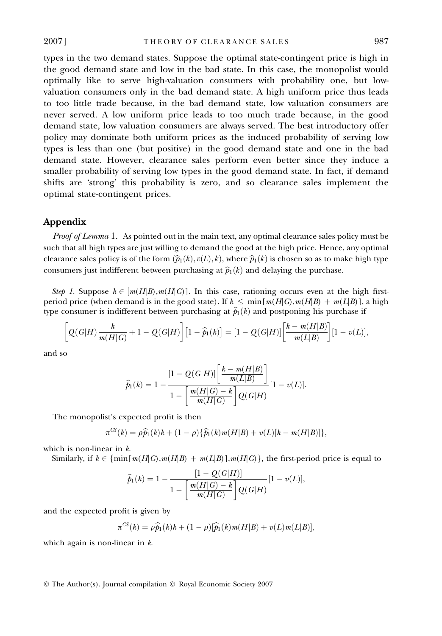types in the two demand states. Suppose the optimal state-contingent price is high in the good demand state and low in the bad state. In this case, the monopolist would optimally like to serve high-valuation consumers with probability one, but lowvaluation consumers only in the bad demand state. A high uniform price thus leads to too little trade because, in the bad demand state, low valuation consumers are never served. A low uniform price leads to too much trade because, in the good demand state, low valuation consumers are always served. The best introductory offer policy may dominate both uniform prices as the induced probability of serving low types is less than one (but positive) in the good demand state and one in the bad demand state. However, clearance sales perform even better since they induce a smaller probability of serving low types in the good demand state. In fact, if demand shifts are 'strong' this probability is zero, and so clearance sales implement the optimal state-contingent prices.

# Appendix

*Proof of Lemma* 1. As pointed out in the main text, any optimal clearance sales policy must be such that all high types are just willing to demand the good at the high price. Hence, any optimal clearance sales policy is of the form  $(\hat{p}_1(k), v(L), k)$ , where  $\hat{p}_1(k)$  is chosen so as to make high type consumers just indifferent between purchasing at  $\hat{p}_1(k)$  and delaying the purchase.

Step 1. Suppose  $k \in [m(H|B),m(H|G)]$ . In this case, rationing occurs even at the high firstperiod price (when demand is in the good state). If  $k \leq \min[m(H|G),m(H|B) + m(L|B)]$ , a high type consumer is indifferent between purchasing at  $p_1(k)$  and postponing his purchase if

$$
\[Q(G|H)\frac{k}{m(H|G)}+1-Q(G|H)\]\left[1-\hat{p}_1(k)\right] = [1-Q(G|H)]\left[\frac{k-m(H|B)}{m(L|B)}\right][1-v(L)],
$$

and so

$$
\widehat{p}_1(k)=1-\dfrac{[1-Q(G|H)]\bigg[\dfrac{k-m(H|B)}{m(L|B)}\bigg]}{1-\bigg[\dfrac{m(H|G)-k}{m(H|G)}\bigg]Q(G|H)}[1-v(L)].
$$

The monopolist's expected profit is then

$$
\pi^{CS}(k) = \rho \widehat{p}_1(k)k + (1 - \rho)\{\widehat{p}_1(k)m(H|B) + v(L)[k - m(H|B)]\},\
$$

which is non-linear in k.

Similarly, if  $k \in \{\min[m(H|G),m(H|B) + m(L|B)], m(H|G)\}\$ , the first-period price is equal to

$$
\widehat{p}_1(k) = 1 - \frac{[1 - Q(G|H)]}{1 - \left[\frac{m(H|G) - k}{m(H|G)}\right]Q(G|H)}[1 - v(L)],
$$

and the expected profit is given by

$$
\pi^{CS}(k) = \rho \widehat{p}_1(k)k + (1 - \rho)[\widehat{p}_1(k)m(H|B) + v(L)m(L|B)],
$$

which again is non-linear in  $k$ .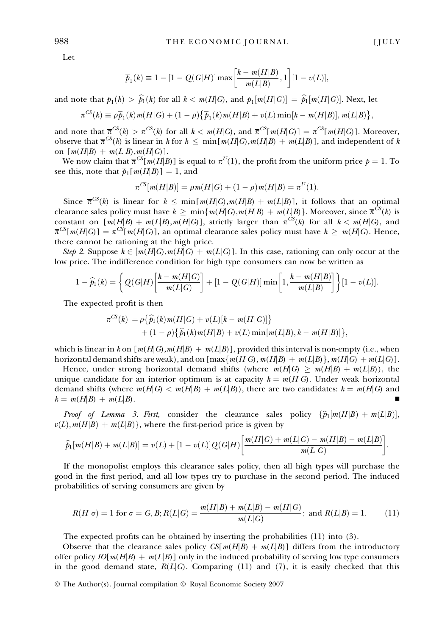Let

$$
\overline{p}_1(k)\equiv 1-[1-Q(G|H)]\max\biggl[\frac{k-m(H|B)}{m(L|B)},1\biggr][1-v(L)],
$$

and note that  $\overline{p}_1(k) > p_1(k)$  for all  $k < m(H|G)$ , and  $\overline{p}_1[m(H|G)] = p_1[m(H|G)]$ . Next, let

$$
\overline{\pi}^{CS}(k) \equiv \rho \overline{\phi}_1(k) m(H|G) + (1 - \rho) \big\{ \overline{\phi}_1(k) m(H|B) + v(L) \min[k - m(H|B)], m(L|B) \big\},\
$$

and note that  $\overline{\pi}^{CS}(k) > \pi^{CS}(k)$  for all  $k < m(H|G)$ , and  $\overline{\pi}^{CS}[m(H|G)] = \pi^{CS}[m(H|G)]$ . Moreover, observe that  $\overline{\pi}^{CS}(k)$  is linear in k for  $k \leq \min[m(H|G),m(H|B)] + m(L|B)]$ , and independent of k on  $[m(H|B) + m(L|B), m(H|G)].$ 

We now claim that  $\pi^{CS}[m(H|B)]$  is equal to  $\pi^{U}(1)$ , the profit from the uniform price  $p = 1$ . To see this, note that  $\overline{p}_1[m(H|B)] = 1$ , and

$$
\overline{\pi}^{CS}[m(H|B)] = \rho m(H|G) + (1-\rho)m(H|B) = \pi^{U}(1).
$$

Since  $\overline{\pi}^{CS}(k)$  is linear for  $k \leq \min[m(H|G),m(H|B) + m(L|B)]$ , it follows that an optimal clearance sales policy must have  $k\,\geq\, \min\{m(H|G),m(H|B)\,+\,m(L|B)\}.$  Moreover, since  $\overline{\pi}^{CS}(k)$  is constant on  $[m(H|B) + m(L|B), m(H|G)]$ , strictly larger than  $\pi^{CS}(k)$  for all  $k < m(H|G)$ , and  $\overline{\pi}^{CS}[m(H|G)] = \pi^{CS}[m(H|G)]$ , an optimal clearance sales policy must have  $k \ge m(H|G)$ . Hence, there cannot be rationing at the high price.

Step 2. Suppose  $k \in [m(H|G), m(H|G) + m(L|G)]$ . In this case, rationing can only occur at the low price. The indifference condition for high type consumers can now be written as

$$
1 - \widehat{p}_1(k) = \left\{ Q(G|H)\left[\frac{k-m(H|G)}{m(L|G)}\right] + \left[1-Q(G|H)\right] \min\left[1, \frac{k-m(H|B)}{m(L|B)}\right] \right\} \left[1-v(L)\right].
$$

The expected profit is then

$$
\pi^{CS}(k) = \rho \{\hat{p}_1(k) m(H|G) + v(L)[k - m(H|G)]\} + (1 - \rho) \{\hat{p}_1(k) m(H|B) + v(L) \min[m(L|B), k - m(H|B)]\},\
$$

which is linear in k on  $[m(H|G),m(H|B) + m(L|B)]$ , provided this interval is non-empty (i.e., when horizontal demand shifts are weak), and on  $\left[\max\{m(H|G), m(H|B) + m(L|B)\}, m(H|G) + m(L|G)\right]$ .

Hence, under strong horizontal demand shifts (where  $m(H|G) \ge m(H|B) + m(L|B)$ ), the unique candidate for an interior optimum is at capacity  $k = m(H|G)$ . Under weak horizontal demand shifts (where  $m(H|G) < m(H|B) + m(L|B)$ ), there are two candidates:  $k = m(H|G)$  and  $k = m(H|B) + m(L|B)$ .

Proof of Lemma 3. First, consider the clearance sales policy  $\{\hat{p}_1[m(H|B) + m(L|B)]\}$  $v(L), m(H|B) + m(L|B)$ , where the first-period price is given by

$$
\widehat{p}_1[m(H|B) + m(L|B)] = v(L) + [1 - v(L)]Q(G|H)\bigg[\frac{m(H|G) + m(L|G) - m(H|B) - m(L|B)}{m(L|G)}\bigg].
$$

If the monopolist employs this clearance sales policy, then all high types will purchase the good in the first period, and all low types try to purchase in the second period. The induced probabilities of serving consumers are given by

$$
R(H|\sigma) = 1 \text{ for } \sigma = G, B; R(L|G) = \frac{m(H|B) + m(L|B) - m(H|G)}{m(L|G)}; \text{ and } R(L|B) = 1.
$$
 (11)

The expected profits can be obtained by inserting the probabilities (11) into (3).

Observe that the clearance sales policy  $CS[m(H|B) + m(L|B)]$  differs from the introductory offer policy  $IO[m(H|B) + m(L|B)]$  only in the induced probability of serving low type consumers in the good demand state,  $R(L|G)$ . Comparing (11) and (7), it is easily checked that this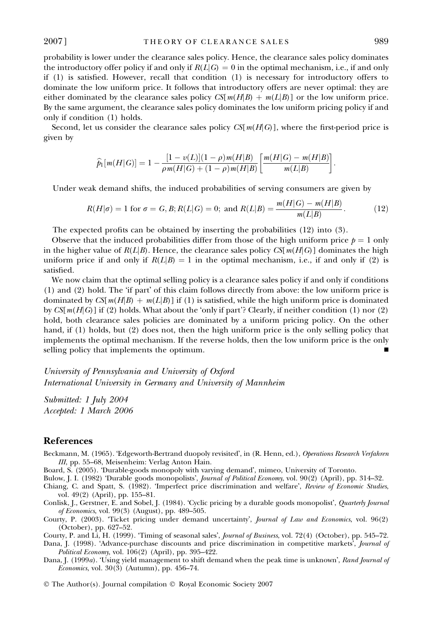probability is lower under the clearance sales policy. Hence, the clearance sales policy dominates the introductory offer policy if and only if  $R(L|G) = 0$  in the optimal mechanism, i.e., if and only if (1) is satisfied. However, recall that condition (1) is necessary for introductory offers to dominate the low uniform price. It follows that introductory offers are never optimal: they are either dominated by the clearance sales policy  $CS[m(H|B) + m(L|B)]$  or the low uniform price. By the same argument, the clearance sales policy dominates the low uniform pricing policy if and only if condition (1) holds.

Second, let us consider the clearance sales policy  $CS[m(H|G)]$ , where the first-period price is given by

$$
\widehat{p}_1[m(H|G)]=1-\frac{[1-v(L)](1-\rho)m(H|B)}{\rho m(H|G)+(1-\rho)m(H|B)}\left[\frac{m(H|G)-m(H|B)}{m(L|B)}\right].
$$

Under weak demand shifts, the induced probabilities of serving consumers are given by

$$
R(H|\sigma) = 1 \text{ for } \sigma = G, B; R(L|G) = 0; \text{ and } R(L|B) = \frac{m(H|G) - m(H|B)}{m(L|B)}.
$$
 (12)

The expected profits can be obtained by inserting the probabilities (12) into (3).

Observe that the induced probabilities differ from those of the high uniform price  $p = 1$  only in the higher value of  $R(L|B)$ . Hence, the clearance sales policy  $CS[m(H|G)]$  dominates the high uniform price if and only if  $R(L|B) = 1$  in the optimal mechanism, i.e., if and only if (2) is satisfied.

We now claim that the optimal selling policy is a clearance sales policy if and only if conditions (1) and (2) hold. The 'if part' of this claim follows directly from above: the low uniform price is dominated by CS[ $m(H|B) + m(L|B)$ ] if (1) is satisfied, while the high uniform price is dominated by  $C S [m(H|G)]$  if (2) holds. What about the 'only if part'? Clearly, if neither condition (1) nor (2) hold, both clearance sales policies are dominated by a uniform pricing policy. On the other hand, if (1) holds, but (2) does not, then the high uniform price is the only selling policy that implements the optimal mechanism. If the reverse holds, then the low uniform price is the only selling policy that implements the optimum.

University of Pennsylvania and University of Oxford International University in Germany and University of Mannheim

Submitted: 1 July 2004 Accepted: 1 March 2006

### References

Beckmann, M. (1965). 'Edgeworth-Bertrand duopoly revisited', in (R. Henn, ed.), *Operations Research Verfahren* III, pp. 55–68, Meisenheim: Verlag Anton Hain.

Board, S. (2005). 'Durable-goods monopoly with varying demand', mimeo, University of Toronto.

Bulow, J. I. (1982) 'Durable goods monopolists', Journal of Political Economy, vol. 90(2) (April), pp. 314–32.

Chiang, C. and Spatt, S. (1982). 'Imperfect price discrimination and welfare', Review of Economic Studies, vol. 49(2) (April), pp. 155–81.

Conlisk, J., Gerstner, E. and Sobel, J. (1984). 'Cyclic pricing by a durable goods monopolist', Quarterly Journal of Economics, vol. 99(3) (August), pp. 489–505.

Courty, P. (2003). 'Ticket pricing under demand uncertainty', Journal of Law and Economics, vol. 96(2) (October), pp. 627–52.

Courty, P. and Li, H. (1999). 'Timing of seasonal sales', Journal of Business, vol. 72(4) (October), pp. 545-72.

Dana, J. (1998). 'Advance-purchase discounts and price discrimination in competitive markets', Journal of Political Economy, vol.  $106(2)$  (April), pp. 395–422.

Dana, J. (1999a). 'Using yield management to shift demand when the peak time is unknown', Rand Journal of Economics, vol.  $30(\overline{3})$  (Autumn), pp. 456–74.